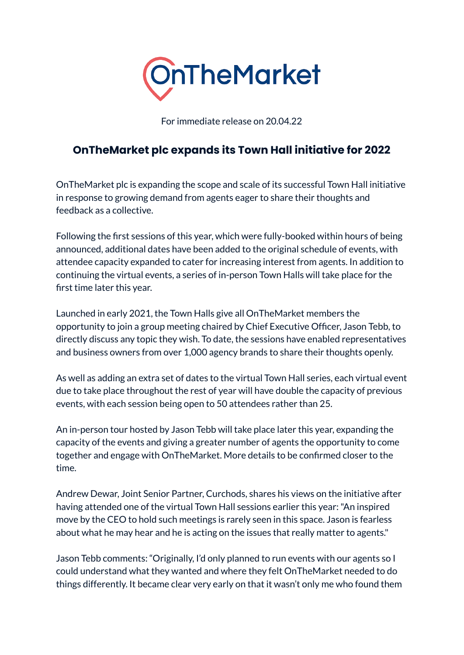

For immediate release on 20.04.22

## **OnTheMarket plc expands its Town Hall initiative for 2022**

OnTheMarket plc is expanding the scope and scale of its successful Town Hall initiative in response to growing demand from agents eager to share their thoughts and feedback as a collective.

Following the first sessions of this year, which were fully-booked within hours of being announced, additional dates have been added to the original schedule of events, with attendee capacity expanded to cater for increasing interest from agents. In addition to continuing the virtual events, a series of in-person Town Halls will take place for the first time later this year.

Launched in early 2021, the Town Halls give all OnTheMarket members the opportunity to join a group meeting chaired by Chief Executive Officer, Jason Tebb, to directly discuss any topic they wish. To date, the sessions have enabled representatives and business owners from over 1,000 agency brands to share their thoughts openly.

As well as adding an extra set of dates to the virtual Town Hall series, each virtual event due to take place throughout the rest of year will have double the capacity of previous events, with each session being open to 50 attendees rather than 25.

An in-person tour hosted by Jason Tebb will take place later this year, expanding the capacity of the events and giving a greater number of agents the opportunity to come together and engage with OnTheMarket. More details to be confirmed closer to the time.

Andrew Dewar, Joint Senior Partner, Curchods, shares his views on the initiative after having attended one of the virtual Town Hall sessions earlier this year:"An inspired move by the CEO to hold such meetings is rarely seen in this space. Jason is fearless about what he may hear and he is acting on the issues that really matter to agents."

Jason Tebb comments: "Originally, I'd only planned to run events with our agents so I could understand what they wanted and where they felt OnTheMarket needed to do things differently. It became clear very early on that it wasn't only me who found them